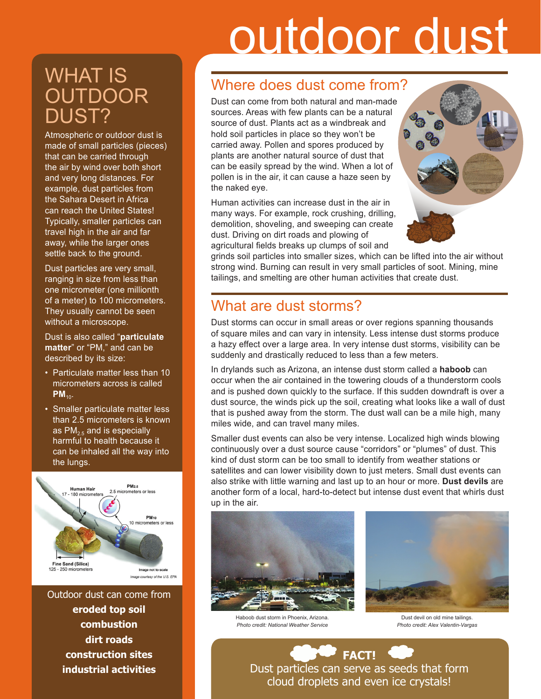# outdoor dust

# WHAT IS **OUTDOOR** DUST?

Atmospheric or outdoor dust is made of small particles (pieces) that can be carried through the air by wind over both short and very long distances. For example, dust particles from the Sahara Desert in Africa can reach the United States! Typically, smaller particles can travel high in the air and far away, while the larger ones settle back to the ground.

Dust particles are very small, ranging in size from less than one micrometer (one millionth of a meter) to 100 micrometers. They usually cannot be seen without a microscope.

Dust is also called "**particulate matter**" or "PM," and can be described by its size:

- Particulate matter less than 10 micrometers across is called  $PM_{10}$ .
- Smaller particulate matter less than 2.5 micrometers is known as  $PM_{2.5}$  and is especially harmful to health because it can be inhaled all the way into the lungs.



Outdoor dust can come from **eroded top soil combustion dirt roads construction sites industrial activities**

## Where does dust come from?

Dust can come from both natural and man-made sources. Areas with few plants can be a natural source of dust. Plants act as a windbreak and hold soil particles in place so they won't be carried away. Pollen and spores produced by plants are another natural source of dust that can be easily spread by the wind. When a lot of pollen is in the air, it can cause a haze seen by the naked eye.

Human activities can increase dust in the air in many ways. For example, rock crushing, drilling, demolition, shoveling, and sweeping can create dust. Driving on dirt roads and plowing of agricultural fields breaks up clumps of soil and



grinds soil particles into smaller sizes, which can be lifted into the air without strong wind. Burning can result in very small particles of soot. Mining, mine tailings, and smelting are other human activities that create dust.

## What are dust storms?

Dust storms can occur in small areas or over regions spanning thousands of square miles and can vary in intensity. Less intense dust storms produce a hazy effect over a large area. In very intense dust storms, visibility can be suddenly and drastically reduced to less than a few meters.

In drylands such as Arizona, an intense dust storm called a **haboob** can occur when the air contained in the towering clouds of a thunderstorm cools and is pushed down quickly to the surface. If this sudden downdraft is over a dust source, the winds pick up the soil, creating what looks like a wall of dust that is pushed away from the storm. The dust wall can be a mile high, many miles wide, and can travel many miles.

Smaller dust events can also be very intense. Localized high winds blowing continuously over a dust source cause "corridors" or "plumes" of dust. This kind of dust storm can be too small to identify from weather stations or satellites and can lower visibility down to just meters. Small dust events can also strike with little warning and last up to an hour or more. **Dust devils** are another form of a local, hard-to-detect but intense dust event that whirls dust up in the air.



*Photo credit: National Weather Service*



Dust devil on old mine tailings. *Photo credit: Alex Valentin-Vargas*

**FACT!** Dust particles can serve as seeds that form cloud droplets and even ice crystals!